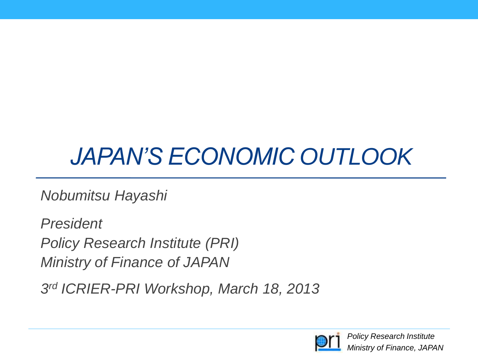# *JAPAN'S ECONOMIC OUTLOOK*

*Nobumitsu Hayashi*

*President Policy Research Institute (PRI) Ministry of Finance of JAPAN*

*3 rd ICRIER-PRI Workshop, March 18, 2013*

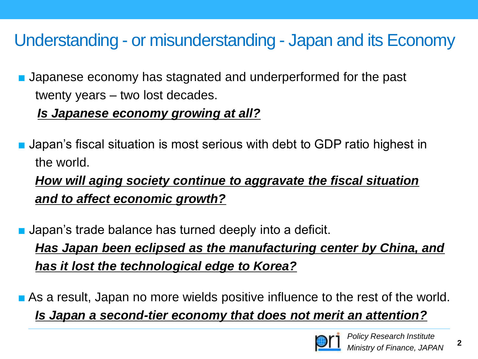### Understanding - or misunderstanding - Japan and its Economy

■ Japanese economy has stagnated and underperformed for the past twenty years – two lost decades.

#### *Is Japanese economy growing at all?*

■ Japan's fiscal situation is most serious with debt to GDP ratio highest in the world.

 *How will aging society continue to aggravate the fiscal situation and to affect economic growth?*

■ Japan's trade balance has turned deeply into a deficit.

*Has Japan been eclipsed as the manufacturing center by China, and has it lost the technological edge to Korea?*

■ As a result, Japan no more wields positive influence to the rest of the world. *Is Japan a second-tier economy that does not merit an attention?*



**2**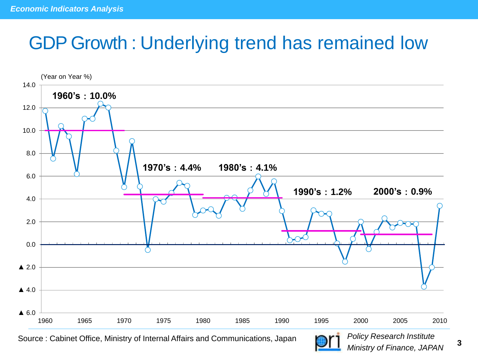## GDP Growth : Underlying trend has remained low



Source : Cabinet Office, Ministry of Internal Affairs and Communications, Japan **3**<br>3



*Policy Research Institute Ministry of Finance, JAPAN*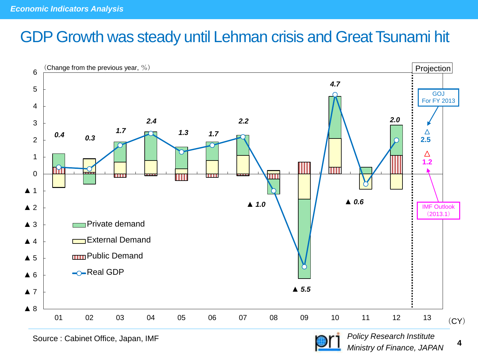### GDP Growth was steady until Lehman crisis and Great Tsunami hit



Source : Cabinet Office, Japan, IMF

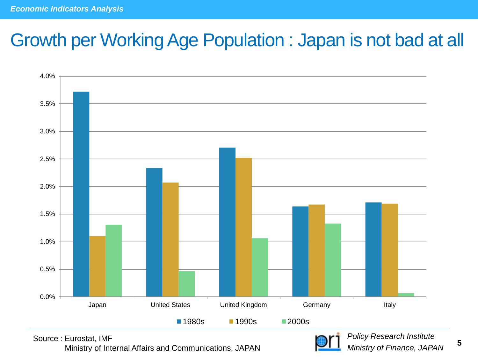### Growth per Working Age Population : Japan is not bad at all



Source : Eurostat, IMF Ministry of Internal Affairs and Communications, JAPAN



*Policy Research Institute Ministry of Finance, JAPAN*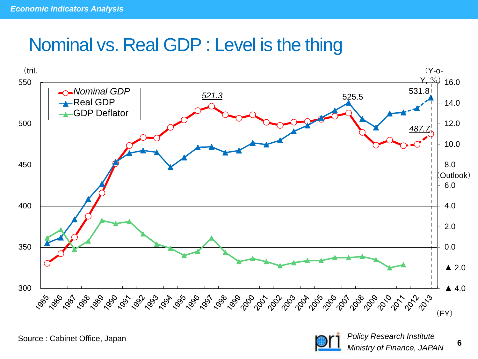### Nominal vs. Real GDP : Level is the thing



Source : Cabinet Office, Japan

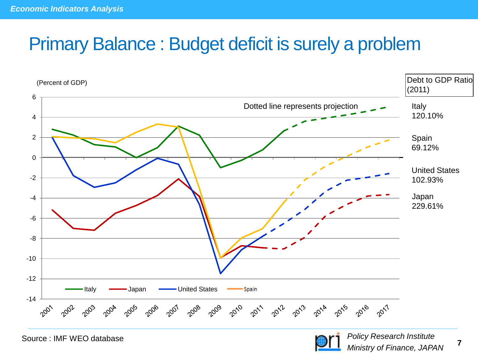### Primary Balance : Budget deficit is surely a problem



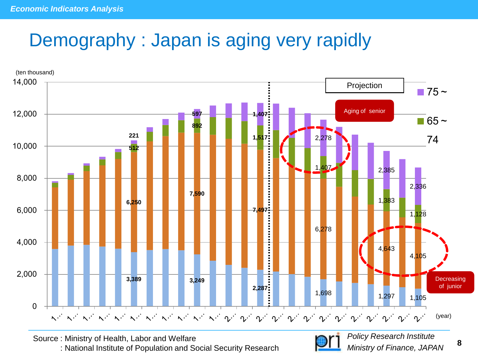## Demography : Japan is aging very rapidly



Source : Ministry of Health, Labor and Welfare : National Institute of Population and Social Security Research



**8**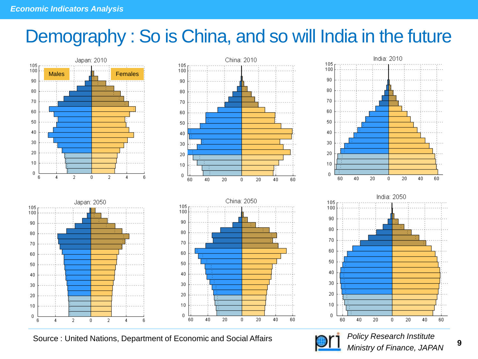## Demography : So is China, and so will India in the future



Source : United Nations, Department of Economic and Social Affairs



*Policy Research Institute Ministry of Finance, JAPAN*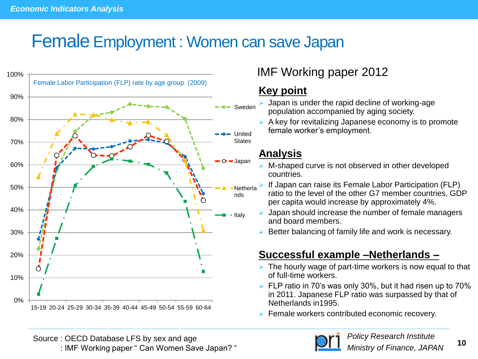### Female Employment : Women can save Japan



#### IMF Working paper 2012

#### **Key point**

- Japan is under the rapid decline of working-age population accompanied by aging society.
- $\triangleright$  A key for revitalizing Japanese economy is to promote female worker's employment.

#### **Analysis**

- M-shaped curve is not observed in other developed countries.
- If Japan can raise its Female Labor Participation (FLP) ratio to the level of the other G7 member countries, GDP per capita would increase by approximately 4%.
- Japan should increase the number of female managers and board members.
- Better balancing of family life and work is necessary.

#### **Successful example –Netherlands –**

- $\triangleright$  The hourly wage of part-time workers is now equal to that of full-time workers.
- $\triangleright$  FLP ratio in 70's was only 30%, but it had risen up to 70% in 2011. Japanese FLP ratio was surpassed by that of Netherlands in1995.
- $\triangleright$  Female workers contributed economic recovery.

Source : OECD Database LFS by sex and age Source Balasase Ending Schema and age in the same of the second term of the Ministry of Finance, JAPAN 10

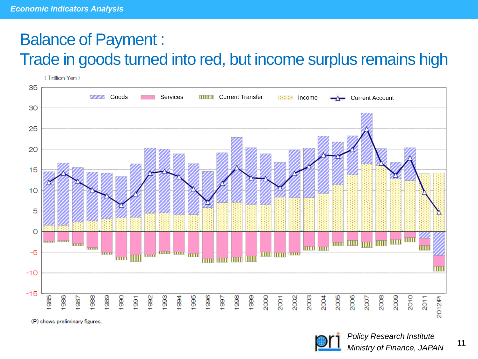### Balance of Payment : Trade in goods turned into red, but income surplus remains high



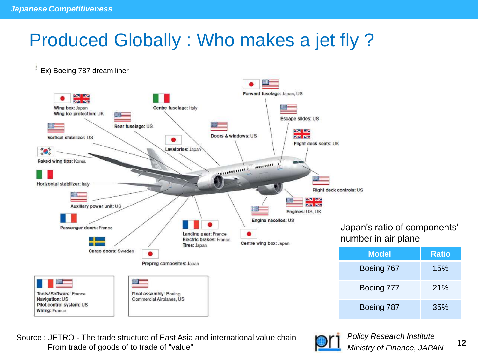## Produced Globally : Who makes a jet fly ?



Source : JETRO - The trade structure of East Asia and international value chain From trade of goods of to trade of "value" **12**<br>From trade of goods of to trade of "value" Ministry of Finance, JAPAN

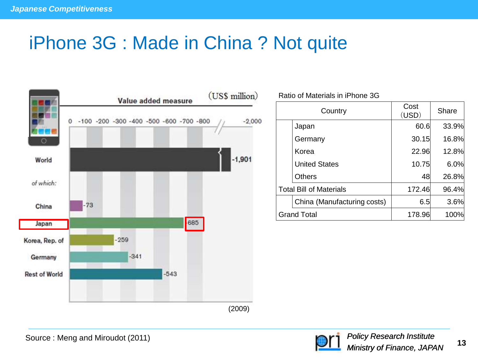## iPhone 3G : Made in China ? Not quite



Ratio of Materials in iPhone 3G

| Country                        |                             | Cost<br>(USD) | Share        |
|--------------------------------|-----------------------------|---------------|--------------|
|                                | Japan                       | 60.6          | 33.9%        |
|                                | Germany                     | 30.15         | <b>16.8%</b> |
|                                | Korea                       | 22.96         | 12.8%        |
|                                | <b>United States</b>        | 10.75         | 6.0%         |
|                                | Others                      | 48            | 26.8%        |
| <b>Total Bill of Materials</b> |                             | 172.46        | 96.4%        |
|                                | China (Manufacturing costs) | 6.5           | 3.6%         |
| <b>Grand Total</b>             |                             | 178.96        | 100%         |

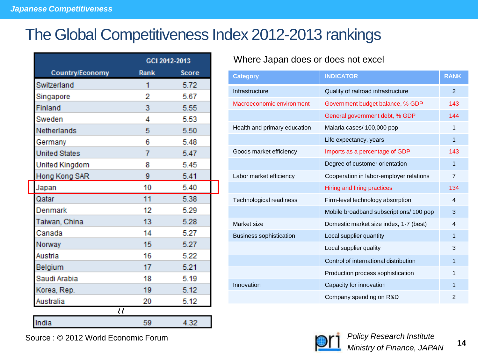### The Global Competitiveness Index 2012-2013 rankings

|                          |      | GCI 2012-2013 |  |
|--------------------------|------|---------------|--|
| <b>Country/Economy</b>   | Rank | Score         |  |
| Switzerland              | 1    | 5.72          |  |
| Singapore                | 2    | 5.67          |  |
| Finland                  | 3    | 5.55          |  |
| Sweden                   | 4    | 5.53          |  |
| Netherlands              | 5    | 5.50          |  |
| Germany                  | 6    | 5.48          |  |
| <b>United States</b>     | 7    | 5.47          |  |
| United Kingdom           | 8    | 5.45          |  |
| Hong Kong SAR            | 9    | 5.41          |  |
| Japan                    | 10   | 5.40          |  |
| Qatar                    | 11   | 5.38          |  |
| Denmark                  | 12   | 5.29          |  |
| Taiwan, China            | 13   | 5.28          |  |
| Canada                   | 14   | 5.27          |  |
| Norway                   | 15   | 5.27          |  |
| Austria                  | 16   | 5.22          |  |
| Belgium                  | 17   | 5.21          |  |
| Saudi Arabia             | 18   | 5.19          |  |
| Korea, Rep.              | 19   | 5.12          |  |
| Australia                | 20   | 5.12          |  |
| $\overline{\mathcal{U}}$ |      |               |  |
| India                    | 59   | 4.32          |  |

#### Where Japan does or does not excel

| <b>Category</b>                | <b>INDICATOR</b>                        | <b>RANK</b>    |
|--------------------------------|-----------------------------------------|----------------|
| Infrastructure                 | Quality of railroad infrastructure      | $\mathfrak{p}$ |
| Macroeconomic environment      | Government budget balance, % GDP        | 143            |
|                                | General government debt, % GDP          | 144            |
| Health and primary education   | Malaria cases/ 100,000 pop              | 1              |
|                                | Life expectancy, years                  | 1              |
| Goods market efficiency        | Imports as a percentage of GDP          | 143            |
|                                | Degree of customer orientation          | 1              |
| Labor market efficiency        | Cooperation in labor-employer relations | $\overline{7}$ |
|                                | Hiring and firing practices             | 134            |
| Technological readiness        | Firm-level technology absorption        | 4              |
|                                | Mobile broadband subscriptions/ 100 pop | 3              |
| Market size                    | Domestic market size index, 1-7 (best)  | 4              |
| <b>Business sophistication</b> | Local supplier quantity                 | 1              |
|                                | Local supplier quality                  | 3              |
|                                | Control of international distribution   | 1              |
|                                | Production process sophistication       | 1              |
| Innovation                     | Capacity for innovation                 | 1              |
|                                | Company spending on R&D                 | $\mathfrak{p}$ |

Source : © 2012 World Economic Forum

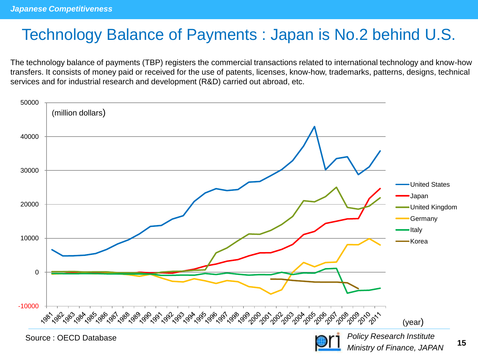### Technology Balance of Payments : Japan is No.2 behind U.S.

The technology balance of payments (TBP) registers the commercial transactions related to international technology and know-how transfers. It consists of money paid or received for the use of patents, licenses, know-how, trademarks, patterns, designs, technical services and for industrial research and development (R&D) carried out abroad, etc.

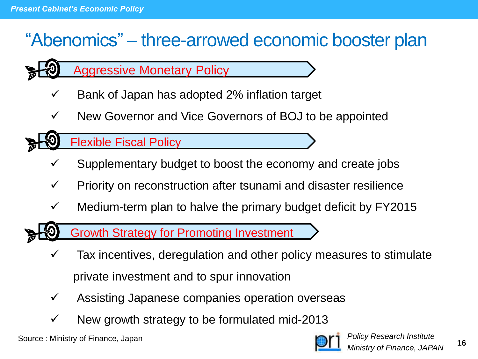## "Abenomics" – three-arrowed economic booster plan

- Aggressive Monetary Policy
- $\checkmark$  Bank of Japan has adopted 2% inflation target
- $\checkmark$  New Governor and Vice Governors of BOJ to be appointed

Flexible Fiscal Policy

- Supplementary budget to boost the economy and create jobs
- $\checkmark$  Priority on reconstruction after tsunami and disaster resilience
- $\checkmark$  Medium-term plan to halve the primary budget deficit by FY2015

Growth Strategy for Promoting Investment

- Tax incentives, deregulation and other policy measures to stimulate private investment and to spur innovation
- $\checkmark$  Assisting Japanese companies operation overseas
- New growth strategy to be formulated mid-2013

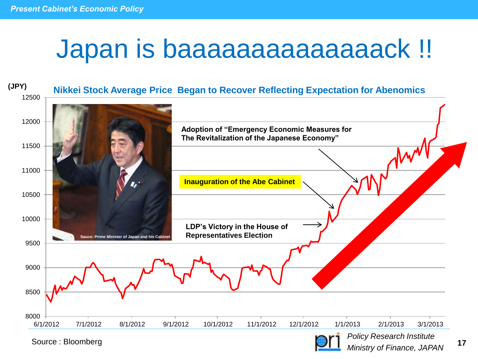# Japan is baaaaaaaaaaaaaack !!



Source : Bloomberg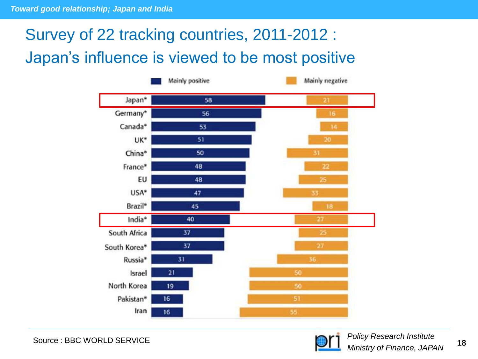### Survey of 22 tracking countries, 2011-2012 : Japan's influence is viewed to be most positive



Source : BBC WORLD SERVICE